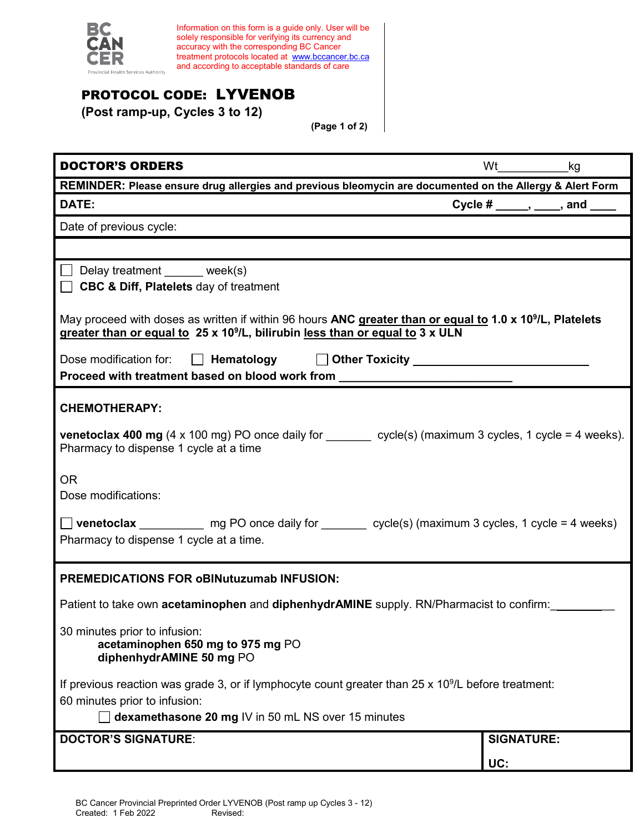

Information on this form is a guide only. User will be solely responsible for verifying its currency and accuracy with the corresponding BC Cancer treatment protocols located at <u>[www.bccancer.bc.ca](http://www.bccancer.bc.ca/)</u> and according to acceptable standards of care

## PROTOCOL CODE: LYVENOB

**(Post ramp-up, Cycles 3 to 12)**

**(Page 1 of 2)**

| <b>DOCTOR'S ORDERS</b>                                                                                                                                                                                             | <b>Wt</b>         | kg                                            |  |
|--------------------------------------------------------------------------------------------------------------------------------------------------------------------------------------------------------------------|-------------------|-----------------------------------------------|--|
| REMINDER: Please ensure drug allergies and previous bleomycin are documented on the Allergy & Alert Form                                                                                                           |                   |                                               |  |
| DATE:                                                                                                                                                                                                              |                   | Cycle # $\_\_\_\$ , $\_\_\_\$ and $\_\_\_\_\$ |  |
| Date of previous cycle:                                                                                                                                                                                            |                   |                                               |  |
|                                                                                                                                                                                                                    |                   |                                               |  |
| □ Delay treatment ______ week(s)                                                                                                                                                                                   |                   |                                               |  |
| <b>CBC &amp; Diff, Platelets day of treatment</b>                                                                                                                                                                  |                   |                                               |  |
| May proceed with doses as written if within 96 hours ANC greater than or equal to 1.0 x 10 <sup>9</sup> /L, Platelets<br>greater than or equal to 25 x 10 <sup>9</sup> /L, bilirubin less than or equal to 3 x ULN |                   |                                               |  |
| Dose modification for: $\Box$ Hematology $\Box$ Other Toxicity _____________________                                                                                                                               |                   |                                               |  |
| Proceed with treatment based on blood work from                                                                                                                                                                    |                   |                                               |  |
| <b>CHEMOTHERAPY:</b>                                                                                                                                                                                               |                   |                                               |  |
| <b>venetoclax 400 mg</b> (4 x 100 mg) PO once daily for $\_\_\_\_$ cycle(s) (maximum 3 cycles, 1 cycle = 4 weeks).<br>Pharmacy to dispense 1 cycle at a time                                                       |                   |                                               |  |
| <b>OR</b>                                                                                                                                                                                                          |                   |                                               |  |
| Dose modifications:                                                                                                                                                                                                |                   |                                               |  |
| $\Box$ venetoclax ____________ mg PO once daily for ________ cycle(s) (maximum 3 cycles, 1 cycle = 4 weeks)<br>Pharmacy to dispense 1 cycle at a time.                                                             |                   |                                               |  |
| <b>PREMEDICATIONS FOR oBINutuzumab INFUSION:</b>                                                                                                                                                                   |                   |                                               |  |
| Patient to take own <b>acetaminophen</b> and <b>diphenhydrAMINE</b> supply. RN/Pharmacist to confirm:                                                                                                              |                   |                                               |  |
| 30 minutes prior to infusion:<br>acetaminophen 650 mg to 975 mg PO<br>diphenhydrAMINE 50 mg PO                                                                                                                     |                   |                                               |  |
| If previous reaction was grade 3, or if lymphocyte count greater than $25 \times 10^9$ /L before treatment:                                                                                                        |                   |                                               |  |
| 60 minutes prior to infusion:                                                                                                                                                                                      |                   |                                               |  |
| dexamethasone 20 mg IV in 50 mL NS over 15 minutes                                                                                                                                                                 |                   |                                               |  |
| <b>DOCTOR'S SIGNATURE:</b>                                                                                                                                                                                         | <b>SIGNATURE:</b> |                                               |  |
|                                                                                                                                                                                                                    | UC:               |                                               |  |